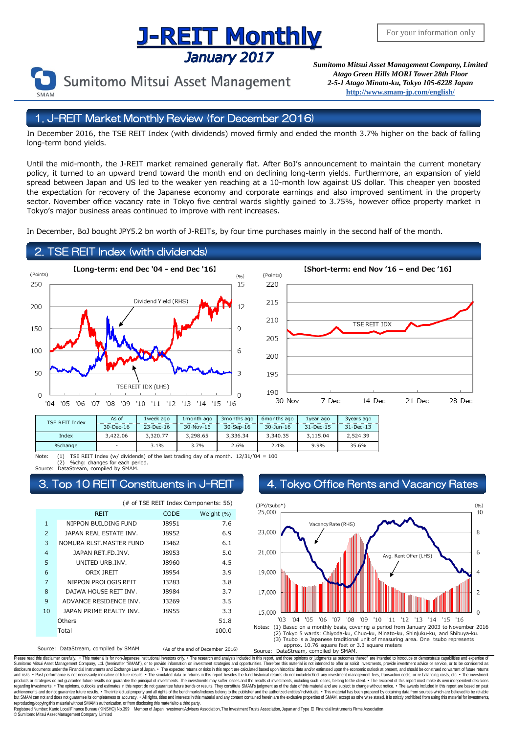# **Supering The Superior Concept Concept Asset Management Company, Limited** Concept Concept Asset Management Company, Limited

Sumitomo Mitsui Asset Management

*Atago Green Hills MORI Tower 28th Floor 2-5-1 Atago Minato-ku, Tokyo 105-6228 Japan* **<http://www.smam-jp.com/english/>**

### 1. J-REIT Market Monthly Review (for December 2016)

In December 2016, the TSE REIT Index (with dividends) moved firmly and ended the month 3.7% higher on the back of falling long-term bond yields.

Until the mid-month, the J-REIT market remained generally flat. After BoJ's announcement to maintain the current monetary policy, it turned to an upward trend toward the month end on declining long-term yields. Furthermore, an expansion of yield spread between Japan and US led to the weaker yen reaching at a 10-month low against US dollar. This cheaper yen boosted the expectation for recovery of the Japanese economy and corporate earnings and also improved sentiment in the property sector. November office vacancy rate in Tokyo five central wards slightly gained to 3.75%, however office property market in Tokyo's major business areas continued to improve with rent increases.

In December, BoJ bought JPY5.2 bn worth of J-REITs, by four time purchases mainly in the second half of the month.

### 2. TSE REIT Index (with dividends)





| TSE REIT Index | As of     | 1week ago | 1 month ago | 3 months ago | 6 months ago | 1 vear ago      | 3years ago    |
|----------------|-----------|-----------|-------------|--------------|--------------|-----------------|---------------|
|                | 30-Dec-16 | 23-Dec-16 | 30-Nov-16   | 30-Sep-16    | 30-Jun-16    | $31 - Dec - 15$ | $31 - Dec-13$ |
| Index          | 3,422.06  | 3,320,77  | 3,298.65    | 3,336.34     | 3,340.35     | 3.115.04        | 2.524.39      |
| %change        | -         | $3.1\%$   | 3.7%        | 2.6%         | 2.4%         | 9.9%            | 35.6%         |

Note: (1) TSE REIT Index (w/ dividends) of the last trading day of a month. 12/31/'04 = 100 (2) %chg: changes for each period. Source: DataStream, compiled by SMAM.

Source: DataStream, compiled by SMAM (As of the end of December 2016) (# of TSE REIT Index Components: 56) CODE Weight (%) 1 NIPPON BUILDING FUND 18951 7.6 2 J8952 6.9 JAPAN REAL ESTATE INV. 3 NOMURA RLST.MASTER FUND 13462 6.1 4 J8953 5.0 JAPAN RET.FD.INV. 5 J8960 4.5 UNITED URB.INV. 6 J8954 3.9 ORIX JREIT 7 J3283 3.8 NIPPON PROLOGIS REIT 8 J8984 3.7 DAIWA HOUSE REIT INV. 9 ADVANCE RESIDENCE INV. J3269 3.5 10 J8955 3.3 JAPAN PRIME REALTY INV. 51.8 100.0 REIT **Others** Total

### Top 10 REIT Constituents in J-REIT 4. Tokyo Office Rents and Vacancy Rates



Please read this disclaimer carefully. . This material is for non-Japanese institutional investors only. The research and analysis included in this report, and those opinions or judgments as outcomes thereof, are intended Sumitomo Mitsui Asset Management Company, Ltd. (hereinafter "SMAM"), or to provide information on investment strategies and opportunities. Therefore this material is not intended to offer or solicit investments, provide in disclosure documents under the Financial Instruments and Exchange Law of Japan. • The expected relums or risks in this report are calculated based upon historial data and/or estimated upon the economic outlook at present, products or strategies do not guarantee future results nor guarantee the principal of investments. The investments may suffer losses and the results of investments, including such losses, belong to the client. . The recipi regarding investments. • The opinions, outlooks and estimates in this report do not guarantee future trends or results. They constitute SMAM's judgment as of the date of this material and are subject to change without noti reproducing/copying this material without SMAM's authorization, or from disclosing thismaterial to a third party.

egistered Number: Kanto Local Finance Bureau (KINSHO) No.399 Member of Japan Investment Advisers Association, The Investment Trusts Association, Japan and Type Ⅱ Financial Instruments Firms Association © SumitomoMitsui Asset Management Company, Limited